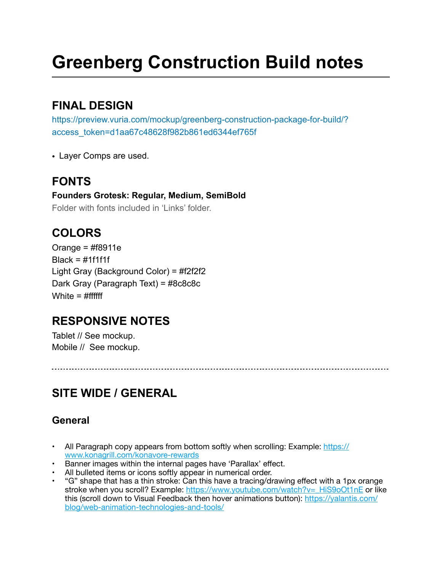# **Greenberg Construction Build notes**

### **FINAL DESIGN**

https://preview.vuria.com/mockup/greenberg-construction-package-for-build/? access\_token=d1aa67c48628f982b861ed6344ef765f

• Layer Comps are used.

# **FONTS**

**Founders Grotesk: Regular, Medium, SemiBold**  Folder with fonts included in 'Links' folder.

# **COLORS**

Orange = #f8911e  $Black = #1f1f1f$ Light Gray (Background Color) = #f2f2f2 Dark Gray (Paragraph Text) = #8c8c8c White  $=$  #ffffff

# **RESPONSIVE NOTES**

Tablet // See mockup. Mobile // See mockup.

# **SITE WIDE / GENERAL**

### **General**

- All Paragraph copy appears from bottom softly when scrolling: Example: [https://](https://www.konagrill.com/konavore-rewards) [www.konagrill.com/konavore-rewards](https://www.konagrill.com/konavore-rewards)
- Banner images within the internal pages have 'Parallax' effect.
- All bulleted items or icons softly appear in numerical order.
- "G" shape that has a thin stroke: Can this have a tracing/drawing effect with a 1px orange stroke when you scroll? Example: [https://www.youtube.com/watch?v=\\_HiS9oOt1nE](https://www.youtube.com/watch?v=_HiS9oOt1nE) or like this (scroll down to Visual Feedback then hover animations button): [https://yalantis.com/](https://yalantis.com/blog/web-animation-technologies-and-tools/) [blog/web-animation-technologies-and-tools/](https://yalantis.com/blog/web-animation-technologies-and-tools/)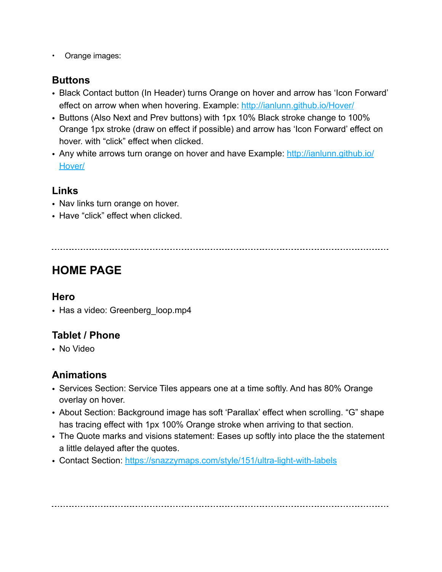• Orange images:

#### **Buttons**

- Black Contact button (In Header) turns Orange on hover and arrow has 'Icon Forward' effect on arrow when when hovering. Example:<http://ianlunn.github.io/Hover/>
- Buttons (Also Next and Prev buttons) with 1px 10% Black stroke change to 100% Orange 1px stroke (draw on effect if possible) and arrow has 'Icon Forward' effect on hover. with "click" effect when clicked.
- Any white arrows turn orange on hover and have Example: [http://ianlunn.github.io/](http://ianlunn.github.io/Hover/) [Hover/](http://ianlunn.github.io/Hover/)

#### **Links**

- Nav links turn orange on hover.
- Have "click" effect when clicked.

# **HOME PAGE**

#### **Hero**

• Has a video: Greenberg\_loop.mp4

### **Tablet / Phone**

• No Video

#### **Animations**

- Services Section: Service Tiles appears one at a time softly. And has 80% Orange overlay on hover.
- About Section: Background image has soft 'Parallax' effect when scrolling. "G" shape has tracing effect with 1px 100% Orange stroke when arriving to that section.
- The Quote marks and visions statement: Eases up softly into place the the statement a little delayed after the quotes.
- Contact Section:<https://snazzymaps.com/style/151/ultra-light-with-labels>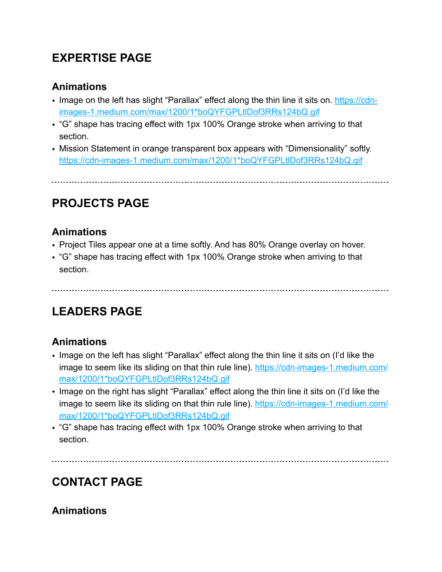### **EXPERTISE PAGE**

#### **Animations**

- Image on the left has slight "Parallax" effect along the thin line it sits on. [https://cdn](https://cdn-images-1.medium.com/max/1200/1*boQYFGPLtlDof3RRs124bQ.gif)[images-1.medium.com/max/1200/1\\*boQYFGPLtlDof3RRs124bQ.gif](https://cdn-images-1.medium.com/max/1200/1*boQYFGPLtlDof3RRs124bQ.gif)
- "G" shape has tracing effect with 1px 100% Orange stroke when arriving to that section.
- Mission Statement in orange transparent box appears with "Dimensionality" softly. [https://cdn-images-1.medium.com/max/1200/1\\*boQYFGPLtlDof3RRs124bQ.gif](https://cdn-images-1.medium.com/max/1200/1*boQYFGPLtlDof3RRs124bQ.gif)

### **PROJECTS PAGE**

#### **Animations**

- Project Tiles appear one at a time softly. And has 80% Orange overlay on hover.
- "G" shape has tracing effect with 1px 100% Orange stroke when arriving to that section.

# **LEADERS PAGE**

### **Animations**

- Image on the left has slight "Parallax" effect along the thin line it sits on (I'd like the image to seem like its sliding on that thin rule line). [https://cdn-images-1.medium.com/](https://cdn-images-1.medium.com/max/1200/1*boQYFGPLtlDof3RRs124bQ.gif) [max/1200/1\\*boQYFGPLtlDof3RRs124bQ.gif](https://cdn-images-1.medium.com/max/1200/1*boQYFGPLtlDof3RRs124bQ.gif)
- Image on the right has slight "Parallax" effect along the thin line it sits on (I'd like the image to seem like its sliding on that thin rule line). [https://cdn-images-1.medium.com/](https://cdn-images-1.medium.com/max/1200/1*boQYFGPLtlDof3RRs124bQ.gif) [max/1200/1\\*boQYFGPLtlDof3RRs124bQ.gif](https://cdn-images-1.medium.com/max/1200/1*boQYFGPLtlDof3RRs124bQ.gif)
- "G" shape has tracing effect with 1px 100% Orange stroke when arriving to that section.

# **CONTACT PAGE**

### **Animations**